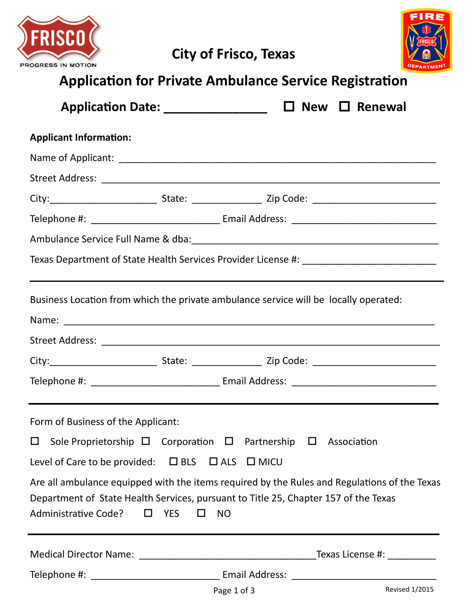



| <b>Application for Private Ambulance Service Registration</b>                                                                                                                                               |                                                                              |  |  |  |                                     |
|-------------------------------------------------------------------------------------------------------------------------------------------------------------------------------------------------------------|------------------------------------------------------------------------------|--|--|--|-------------------------------------|
|                                                                                                                                                                                                             | Application Date: _________________ □ New □ Renewal                          |  |  |  |                                     |
| <b>Applicant Information:</b>                                                                                                                                                                               |                                                                              |  |  |  |                                     |
|                                                                                                                                                                                                             |                                                                              |  |  |  |                                     |
|                                                                                                                                                                                                             |                                                                              |  |  |  |                                     |
|                                                                                                                                                                                                             |                                                                              |  |  |  |                                     |
|                                                                                                                                                                                                             |                                                                              |  |  |  |                                     |
|                                                                                                                                                                                                             |                                                                              |  |  |  |                                     |
|                                                                                                                                                                                                             |                                                                              |  |  |  |                                     |
| Business Location from which the private ambulance service will be locally operated:                                                                                                                        |                                                                              |  |  |  |                                     |
|                                                                                                                                                                                                             |                                                                              |  |  |  |                                     |
|                                                                                                                                                                                                             |                                                                              |  |  |  |                                     |
| Form of Business of the Applicant:                                                                                                                                                                          |                                                                              |  |  |  |                                     |
| $\Box$                                                                                                                                                                                                      | Sole Proprietorship $\Box$ Corporation $\Box$ Partnership $\Box$ Association |  |  |  |                                     |
| Level of Care to be provided: □ BLS □ ALS □ MICU                                                                                                                                                            |                                                                              |  |  |  |                                     |
| Are all ambulance equipped with the items required by the Rules and Regulations of the Texas<br>Department of State Health Services, pursuant to Title 25, Chapter 157 of the Texas<br>Administrative Code? | <b>YES</b><br><b>NO</b><br>П<br>$\Box$                                       |  |  |  |                                     |
|                                                                                                                                                                                                             |                                                                              |  |  |  | $_T$ Texas License #: _____________ |
|                                                                                                                                                                                                             |                                                                              |  |  |  |                                     |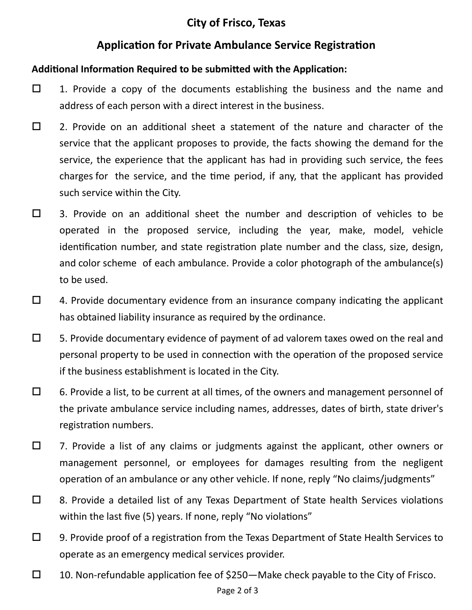## **City of Frisco, Texas**

### **Application for Private Ambulance Service Registration**

#### **Additional Information Required to be submitted with the Application:**

- $\Box$  1. Provide a copy of the documents establishing the business and the name and address of each person with a direct interest in the business.
- $\square$  2. Provide on an additional sheet a statement of the nature and character of the service that the applicant proposes to provide, the facts showing the demand for the service, the experience that the applicant has had in providing such service, the fees charges for the service, and the time period, if any, that the applicant has provided such service within the City.
- $\Box$  3. Provide on an additional sheet the number and description of vehicles to be operated in the proposed service, including the year, make, model, vehicle identification number, and state registration plate number and the class, size, design, and color scheme of each ambulance. Provide a color photograph of the ambulance(s) to be used.
- $\Box$  4. Provide documentary evidence from an insurance company indicating the applicant has obtained liability insurance as required by the ordinance.
- $\square$  5. Provide documentary evidence of payment of ad valorem taxes owed on the real and personal property to be used in connection with the operation of the proposed service if the business establishment is located in the City.
- $\Box$  6. Provide a list, to be current at all times, of the owners and management personnel of the private ambulance service including names, addresses, dates of birth, state driver's registration numbers.
- $\square$  7. Provide a list of any claims or judgments against the applicant, other owners or management personnel, or employees for damages resulting from the negligent operation of an ambulance or any other vehicle. If none, reply "No claims/judgments"
- $\Box$  8. Provide a detailed list of any Texas Department of State health Services violations within the last five (5) years. If none, reply "No violations"
- $\Box$  9. Provide proof of a registration from the Texas Department of State Health Services to operate as an emergency medical services provider.
- $\square$  10. Non-refundable application fee of \$250—Make check payable to the City of Frisco.